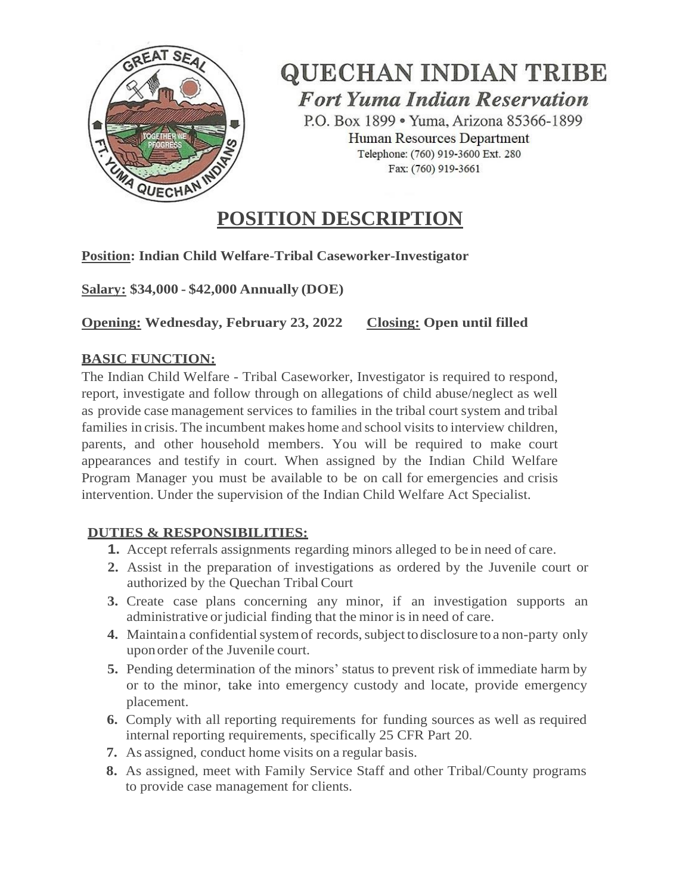

**QUECHAN INDIAN TRIBE Fort Yuma Indian Reservation** 

P.O. Box 1899 . Yuma, Arizona 85366-1899 Human Resources Department Telephone: (760) 919-3600 Ext. 280 Fax: (760) 919-3661

# **POSITION DESCRIPTION**

# **Position: Indian Child Welfare-Tribal Caseworker-Investigator**

**Salary: \$34,000 - \$42,000 Annually (DOE)** 

**Opening: Wednesday, February 23, 2022 Closing: Open until filled**

# **BASIC FUNCTION:**

The Indian Child Welfare - Tribal Caseworker, Investigator is required to respond, report, investigate and follow through on allegations of child abuse/neglect as well as provide case management services to families in the tribal court system and tribal families in crisis. The incumbent makes home and school visits to interview children, parents, and other household members. You will be required to make court appearances and testify in court. When assigned by the Indian Child Welfare Program Manager you must be available to be on call for emergencies and crisis intervention. Under the supervision of the Indian Child Welfare Act Specialist.

# **DUTIES & RESPONSIBILITIES:**

- **1.** Accept referrals assignments regarding minors alleged to be in need of care.
- **2.** Assist in the preparation of investigations as ordered by the Juvenile court or authorized by the Quechan TribalCourt
- **3.** Create case plans concerning any minor, if an investigation supports an administrative or judicial finding that the minor is in need of care.
- **4.** Maintain a confidential system of records, subject to disclosure to a non-party only upon order of the Juvenile court.
- **5.** Pending determination of the minors' status to prevent risk of immediate harm by or to the minor, take into emergency custody and locate, provide emergency placement.
- **6.** Comply with all reporting requirements for funding sources as well as required internal reporting requirements, specifically 25 CFR Part 20.
- **7.** As assigned, conduct home visits on a regular basis.
- **8.** As assigned, meet with Family Service Staff and other Tribal/County programs to provide case management for clients.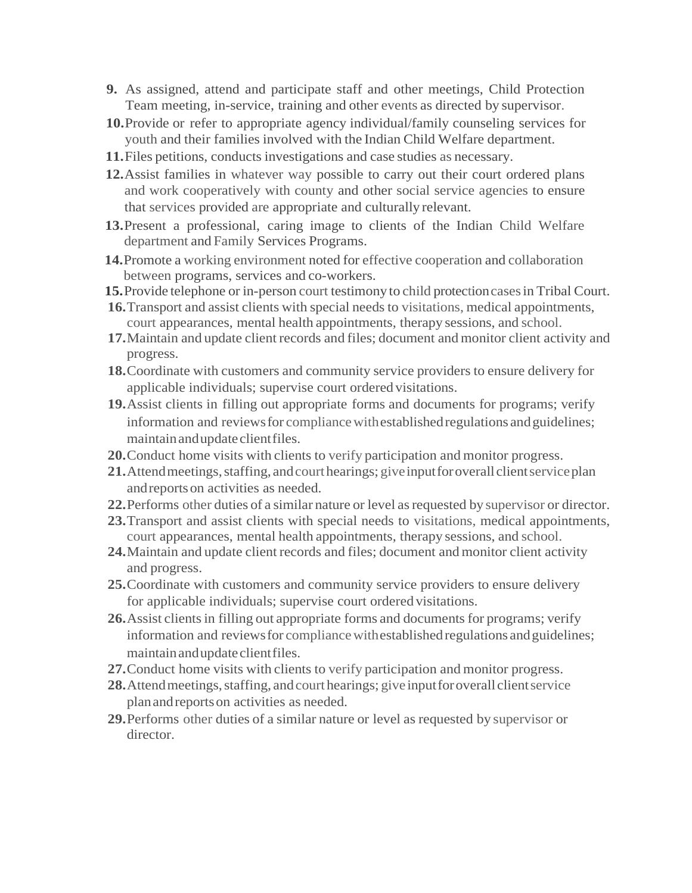- **9.** As assigned, attend and participate staff and other meetings, Child Protection Team meeting, in-service, training and other events as directed by supervisor.
- **10.**Provide or refer to appropriate agency individual/family counseling services for youth and their families involved with the Indian Child Welfare department.
- **11.**Files petitions, conducts investigations and case studies as necessary.
- **12.**Assist families in whatever way possible to carry out their court ordered plans and work cooperatively with county and other social service agencies to ensure that services provided are appropriate and culturally relevant.
- **13.**Present a professional, caring image to clients of the Indian Child Welfare department and Family Services Programs.
- **14.**Promote a working environment noted for effective cooperation and collaboration between programs, services and co-workers.
- **15.**Provide telephone or in-person court testimony to child protectioncasesin Tribal Court.
- **16.**Transport and assist clients with special needs to visitations, medical appointments, court appearances, mental health appointments, therapy sessions, and school.
- **17.**Maintain and update client records and files; document and monitor client activity and progress.
- **18.**Coordinate with customers and community service providers to ensure delivery for applicable individuals; supervise court ordered visitations.
- **19.**Assist clients in filling out appropriate forms and documents for programs; verify information and reviews for compliance with established regulations and guidelines; maintain and update client files.
- **20.**Conduct home visits with clients to verify participation and monitor progress.
- 21. Attend meetings, staffing, and court hearings; give input for overall client service plan andreportson activities as needed.
- **22.**Performs other duties of a similar nature or level asrequested by supervisor or director.
- **23.**Transport and assist clients with special needs to visitations, medical appointments, court appearances, mental health appointments, therapy sessions, and school.
- **24.**Maintain and update client records and files; document and monitor client activity and progress.
- **25.**Coordinate with customers and community service providers to ensure delivery for applicable individuals; supervise court ordered visitations.
- **26.** Assist clients in filling out appropriate forms and documents for programs; verify information and reviews for compliance with established regulations and guidelines; maintain and update client files.
- **27.**Conduct home visits with clients to verify participation and monitor progress.
- 28. Attend meetings, staffing, and court hearings; give input for overall client service planandreportson activities as needed.
- **29.**Performs other duties of a similar nature or level as requested by supervisor or director.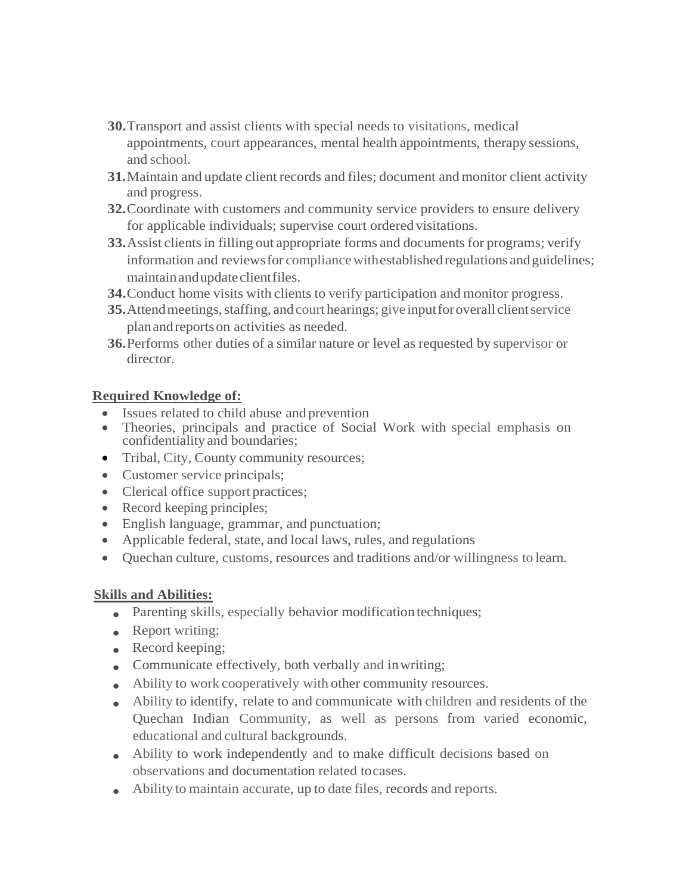- **30.**Transport and assist clients with special needs to visitations, medical appointments, court appearances, mental health appointments, therapy sessions, and school.
- **31.**Maintain and update client records and files; document and monitor client activity and progress.
- **32.**Coordinate with customers and community service providers to ensure delivery for applicable individuals; supervise court ordered visitations.
- **33.** Assist clients in filling out appropriate forms and documents for programs; verify information and reviews for compliance with established regulations and guidelines; maintainandupdateclientfiles.
- **34.**Conduct home visits with clients to verify participation and monitor progress.
- **35.** Attend meetings, staffing, and court hearings; give input for overall client service planandreportson activities as needed.
- **36.**Performs other duties of a similar nature or level as requested by supervisor or director.

#### **Required Knowledge of:**

- Issues related to child abuse and prevention
- Theories, principals and practice of Social Work with special emphasis on confidentialityand boundaries;
- Tribal, City, County community resources;
- Customer service principals;
- Clerical office support practices;
- Record keeping principles;
- English language, grammar, and punctuation;
- Applicable federal, state, and local laws, rules, and regulations
- Quechan culture, customs, resources and traditions and/or willingness to learn.

## **Skills and Abilities:**

- Parenting skills, especially behavior modification techniques;
- Report writing;
- Record keeping;
- Communicate effectively, both verbally and inwriting;
- Ability to work cooperatively with other community resources.
- Ability to identify, relate to and communicate with children and residents of the Quechan Indian Community, as well as persons from varied economic, educational and cultural backgrounds.
- Ability to work independently and to make difficult decisions based on observations and documentation related tocases.
- Ability to maintain accurate, up to date files, records and reports.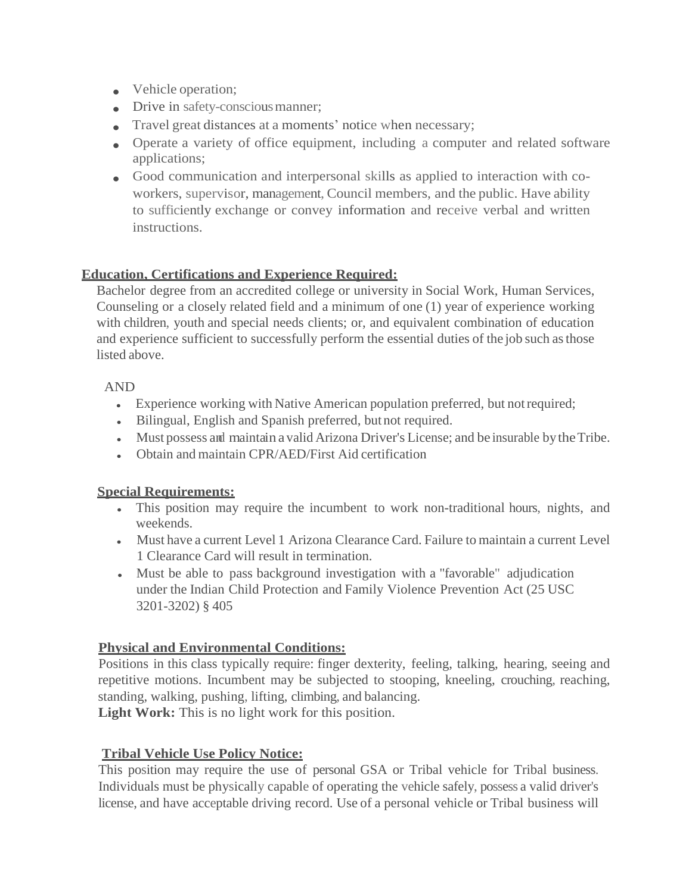- Vehicle operation:
- Drive in safety-conscious manner:
- Travel great distances at a moments' notice when necessary;
- Operate a variety of office equipment, including a computer and related software applications;
- Good communication and interpersonal skills as applied to interaction with coworkers, supervisor, management, Council members, and the public. Have ability to sufficiently exchange or convey information and receive verbal and written instructions.

## **Education, Certifications and Experience Required:**

Bachelor degree from an accredited college or university in Social Work, Human Services, Counseling or a closely related field and a minimum of one (1) year of experience working with children, youth and special needs clients; or, and equivalent combination of education and experience sufficient to successfully perform the essential duties of the job such asthose listed above.

#### AND

- Experience working with Native American population preferred, but notrequired;
- Bilingual, English and Spanish preferred, but not required.
- Must possess and maintain a valid Arizona Driver's License; and be insurable by the Tribe.
- Obtain and maintain CPR/AED/First Aid certification

#### **Special Requirements:**

- This position may require the incumbent to work non-traditional hours, nights, and weekends.
- Must have a current Level 1 Arizona Clearance Card. Failure to maintain a current Level 1 Clearance Card will result in termination.
- Must be able to pass background investigation with a "favorable" adjudication under the Indian Child Protection and Family Violence Prevention Act (25 USC 3201-3202) § 405

#### **Physical and Environmental Conditions:**

Positions in this class typically require: finger dexterity, feeling, talking, hearing, seeing and repetitive motions. Incumbent may be subjected to stooping, kneeling, crouching, reaching, standing, walking, pushing, lifting, climbing, and balancing.

Light Work: This is no light work for this position.

## **Tribal Vehicle Use Policy Notice:**

This position may require the use of personal GSA or Tribal vehicle for Tribal business. Individuals must be physically capable of operating the vehicle safely, possess a valid driver's license, and have acceptable driving record. Use of a personal vehicle or Tribal business will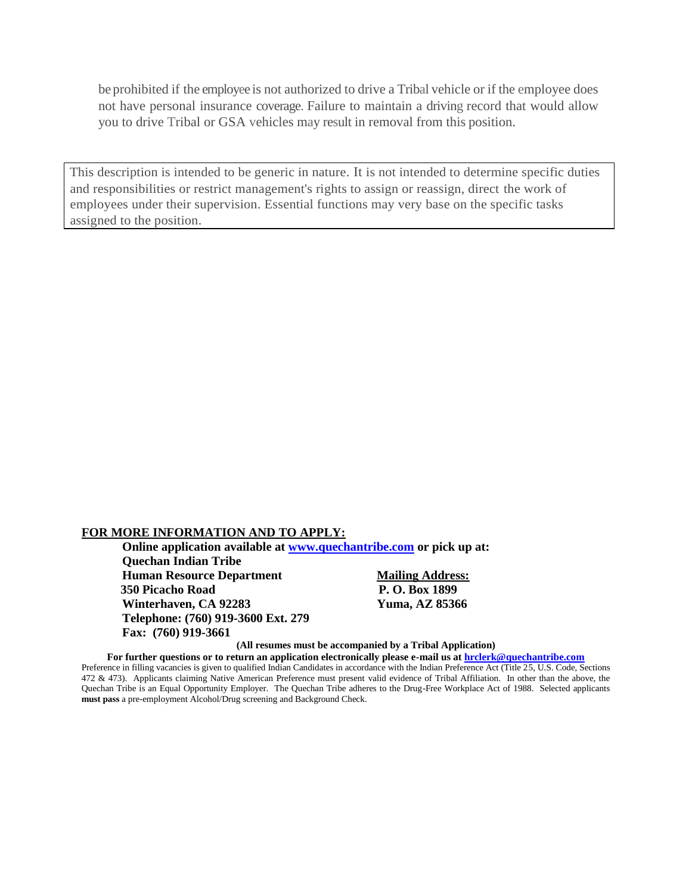be prohibited if the employee is not authorized to drive a Tribal vehicle or if the employee does not have personal insurance coverage. Failure to maintain a driving record that would allow you to drive Tribal or GSA vehicles may result in removal from this position.

This description is intended to be generic in nature. It is not intended to determine specific duties and responsibilities or restrict management's rights to assign or reassign, direct the work of employees under their supervision. Essential functions may very base on the specific tasks assigned to the position.

#### **FOR MORE INFORMATION AND TO APPLY:**

**Online application available at [www.quechantribe.com](http://www.quechantribe.com/) or pick up at: Quechan Indian Tribe Human Resource Department Mailing Address: 350 Picacho Road P. O. Box 1899 Winterhaven, CA 92283 Yuma, AZ 85366 Telephone: (760) 919-3600 Ext. 279 Fax: (760) 919-3661**

**(All resumes must be accompanied by a Tribal Application)**

**For further questions or to return an application electronically please e-mail us at [hrclerk@quechantribe.com](mailto:hrclerk@quechantribe.com)**

Preference in filling vacancies is given to qualified Indian Candidates in accordance with the Indian Preference Act (Title 25, U.S. Code, Sections 472 & 473). Applicants claiming Native American Preference must present valid evidence of Tribal Affiliation. In other than the above, the Quechan Tribe is an Equal Opportunity Employer. The Quechan Tribe adheres to the Drug-Free Workplace Act of 1988. Selected applicants **must pass** a pre-employment Alcohol/Drug screening and Background Check.